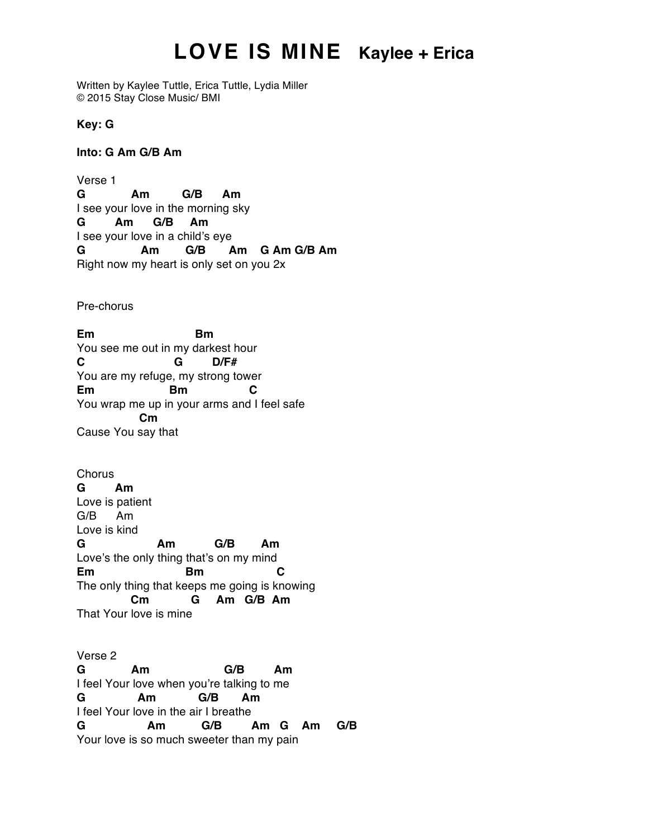## **LOVE IS MINE Kaylee + Erica**

Written by Kaylee Tuttle, Erica Tuttle, Lydia Miller © 2015 Stay Close Music/ BMI

**Key: G**

**Into: G Am G/B Am**

Verse 1 **G Am G/B Am** I see your love in the morning sky **G Am G/B Am** I see your love in a child's eye **G Am G/B Am G Am G/B Am** Right now my heart is only set on you 2x

Pre-chorus

**Em Bm** You see me out in my darkest hour **C G D/F#** You are my refuge, my strong tower **Em Bm C** You wrap me up in your arms and I feel safe **Cm** Cause You say that

**Chorus G Am** Love is patient G/B Am Love is kind **G Am G/B Am** Love's the only thing that's on my mind **Em Bm C** The only thing that keeps me going is knowing **Cm G Am G/B Am** That Your love is mine

Verse 2 **G Am G/B Am** I feel Your love when you're talking to me **G Am G/B Am** I feel Your love in the air I breathe **G Am G/B Am G Am G/B** Your love is so much sweeter than my pain